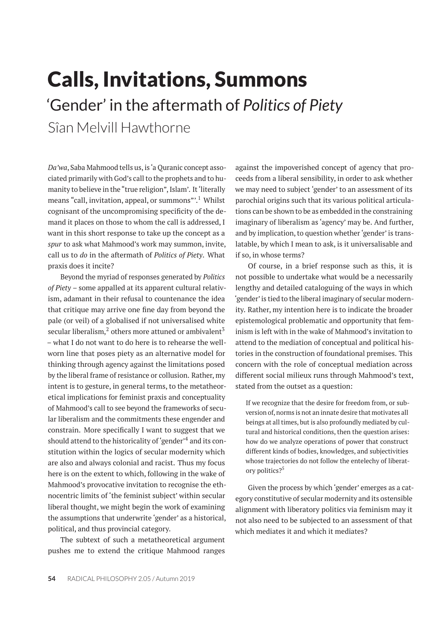# Calls, Invitations, Summons 'Gender' in the aftermath of *Politics of Piety* Sîan Melvill Hawthorne

*Da'wa*, Saba Mahmood tells us, is 'a Quranic concept associated primarily with God's call to the prophets and to humanity to believe in the "true religion", Islam'. It'literally means "call, invitation, appeal, or summons".<sup>1</sup> Whilst cognisant of the uncompromising specificity of the demand it places on those to whom the call is addressed, I want in this short response to take up the concept as a *spur* to ask what Mahmood's work may summon, invite, call us to *do* in the aftermath of *Politics of Piety*. What praxis does it incite?

Beyond the myriad of responses generated by *Politics of Piety* – some appalled at its apparent cultural relativism, adamant in their refusal to countenance the idea that critique may arrive one fine day from beyond the pale (or veil) of a globalised if not universalised white secular liberalism, $<sup>2</sup>$  others more attuned or ambivalent<sup>3</sup></sup> – what I do not want to do here is to rehearse the wellworn line that poses piety as an alternative model for thinking through agency against the limitations posed by the liberal frame of resistance or collusion. Rather, my intent is to gesture, in general terms, to the metatheoretical implications for feminist praxis and conceptuality of Mahmood's call to see beyond the frameworks of secular liberalism and the commitments these engender and constrain. More specifically I want to suggest that we should attend to the historicality of 'gender'<sup>4</sup> and its constitution within the logics of secular modernity which are also and always colonial and racist. Thus my focus here is on the extent to which, following in the wake of Mahmood's provocative invitation to recognise the ethnocentric limits of 'the feminist subject' within secular liberal thought, we might begin the work of examining the assumptions that underwrite 'gender' as a historical, political, and thus provincial category.

The subtext of such a metatheoretical argument pushes me to extend the critique Mahmood ranges against the impoverished concept of agency that proceeds from a liberal sensibility, in order to ask whether we may need to subject 'gender' to an assessment of its parochial origins such that its various political articulations can be shown to be as embedded in the constraining imaginary of liberalism as 'agency' may be. And further, and by implication, to question whether 'gender' is translatable, by which I mean to ask, is it universalisable and if so, in whose terms?

Of course, in a brief response such as this, it is not possible to undertake what would be a necessarily lengthy and detailed cataloguing of the ways in which 'gender' is tied to the liberal imaginary of secular modernity. Rather, my intention here is to indicate the broader epistemological problematic and opportunity that feminism is left with in the wake of Mahmood's invitation to attend to the mediation of conceptual and political histories in the construction of foundational premises. This concern with the role of conceptual mediation across different social milieux runs through Mahmood's text, stated from the outset as a question:

If we recognize that the desire for freedom from, or subversion of, norms is not an innate desire that motivates all beings at all times, but is also profoundly mediated by cultural and historical conditions, then the question arises: how do we analyze operations of power that construct different kinds of bodies, knowledges, and subjectivities whose trajectories do not follow the entelechy of liberatory politics?<sup>5</sup>

Given the process by which 'gender' emerges as a category constitutive of secular modernity and its ostensible alignment with liberatory politics via feminism may it not also need to be subjected to an assessment of that which mediates it and which it mediates?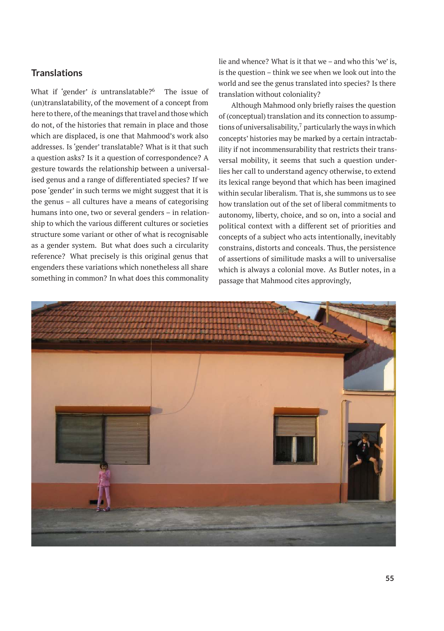## **Translations**

What if 'gender' *is* untranslatable?<sup>6</sup> The issue of (un)translatability, of the movement of a concept from here to there, of the meanings that travel and those which do not, of the histories that remain in place and those which are displaced, is one that Mahmood's work also addresses. Is 'gender' translatable? What is it that such a question asks? Is it a question of correspondence? A gesture towards the relationship between a universalised genus and a range of differentiated species? If we pose 'gender' in such terms we might suggest that it is the genus – all cultures have a means of categorising humans into one, two or several genders – in relationship to which the various different cultures or societies structure some variant or other of what is recognisable as a gender system. But what does such a circularity reference? What precisely is this original genus that engenders these variations which nonetheless all share something in common? In what does this commonality

lie and whence? What is it that we – and who this 'we' is, is the question – think we see when we look out into the world and see the genus translated into species? Is there translation without coloniality?

Although Mahmood only briefly raises the question of (conceptual) translation and its connection to assumptions of universalisability, $<sup>7</sup>$  particularly the ways in which</sup> concepts' histories may be marked by a certain intractability if not incommensurability that restricts their transversal mobility, it seems that such a question underlies her call to understand agency otherwise, to extend its lexical range beyond that which has been imagined within secular liberalism. That is, she summons us to see how translation out of the set of liberal commitments to autonomy, liberty, choice, and so on, into a social and political context with a different set of priorities and concepts of a subject who acts intentionally, inevitably constrains, distorts and conceals. Thus, the persistence of assertions of similitude masks a will to universalise which is always a colonial move. As Butler notes, in a passage that Mahmood cites approvingly,

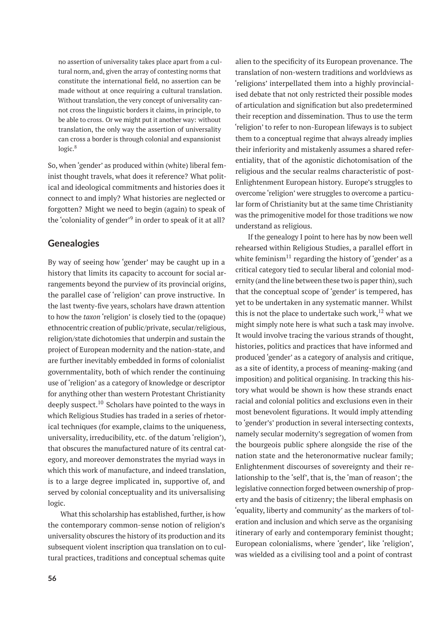no assertion of universality takes place apart from a cultural norm, and, given the array of contesting norms that constitute the international field, no assertion can be made without at once requiring a cultural translation. Without translation, the very concept of universality cannot cross the linguistic borders it claims, in principle, to be able to cross. Or we might put it another way: without translation, the only way the assertion of universality can cross a border is through colonial and expansionist  $logic.<sup>8</sup>$ 

So, when 'gender' as produced within (white) liberal feminist thought travels, what does it reference? What political and ideological commitments and histories does it connect to and imply? What histories are neglected or forgotten? Might we need to begin (again) to speak of the 'coloniality of gender'<sup>9</sup> in order to speak of it at all?

# **Genealogies**

By way of seeing how 'gender' may be caught up in a history that limits its capacity to account for social arrangements beyond the purview of its provincial origins, the parallel case of 'religion' can prove instructive. In the last twenty-five years, scholars have drawn attention to how the *taxon* 'religion' is closely tied to the (opaque) ethnocentric creation of public/private, secular/religious, religion/state dichotomies that underpin and sustain the project of European modernity and the nation-state, and are further inevitably embedded in forms of colonialist governmentality, both of which render the continuing use of 'religion' as a category of knowledge or descriptor for anything other than western Protestant Christianity deeply suspect. $10$  Scholars have pointed to the ways in which Religious Studies has traded in a series of rhetorical techniques (for example, claims to the uniqueness, universality, irreducibility, etc. of the datum 'religion'), that obscures the manufactured nature of its central category, and moreover demonstrates the myriad ways in which this work of manufacture, and indeed translation, is to a large degree implicated in, supportive of, and served by colonial conceptuality and its universalising logic.

What this scholarship has established, further, is how the contemporary common-sense notion of religion's universality obscures the history of its production and its subsequent violent inscription qua translation on to cultural practices, traditions and conceptual schemas quite alien to the specificity of its European provenance. The translation of non-western traditions and worldviews as 'religions' interpellated them into a highly provincialised debate that not only restricted their possible modes of articulation and signification but also predetermined their reception and dissemination. Thus to use the term 'religion' to refer to non-European lifeways is to subject them to a conceptual regime that always already implies their inferiority and mistakenly assumes a shared referentiality, that of the agonistic dichotomisation of the religious and the secular realms characteristic of post-Enlightenment European history. Europe's struggles to overcome 'religion' were struggles to overcome a particular form of Christianity but at the same time Christianity was the primogenitive model for those traditions we now understand as religious.

If the genealogy I point to here has by now been well rehearsed within Religious Studies, a parallel effort in white feminism<sup>11</sup> regarding the history of 'gender' as a critical category tied to secular liberal and colonial modernity (and the line between these two is paper thin), such that the conceptual scope of 'gender' is tempered, has yet to be undertaken in any systematic manner. Whilst this is not the place to undertake such work,  $12$  what we might simply note here is what such a task may involve. It would involve tracing the various strands of thought, histories, politics and practices that have informed and produced 'gender' as a category of analysis and critique, as a site of identity, a process of meaning-making (and imposition) and political organising. In tracking this history what would be shown is how these strands enact racial and colonial politics and exclusions even in their most benevolent figurations. It would imply attending to 'gender's' production in several intersecting contexts, namely secular modernity's segregation of women from the bourgeois public sphere alongside the rise of the nation state and the heteronormative nuclear family; Enlightenment discourses of sovereignty and their relationship to the 'self', that is, the 'man of reason'; the legislative connection forged between ownership of property and the basis of citizenry; the liberal emphasis on 'equality, liberty and community' as the markers of toleration and inclusion and which serve as the organising itinerary of early and contemporary feminist thought; European colonialisms, where 'gender', like 'religion', was wielded as a civilising tool and a point of contrast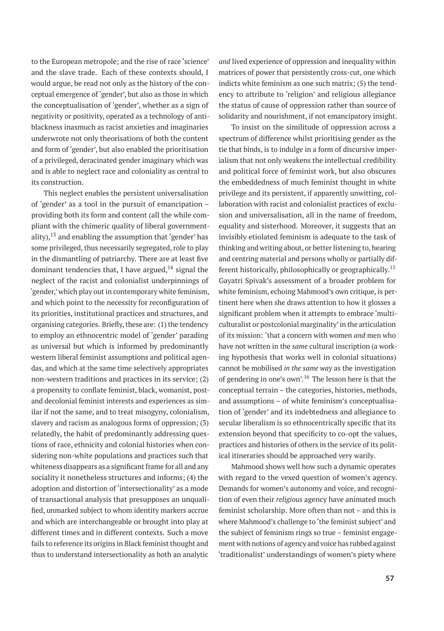to the European metropole; and the rise of race 'science' and the slave trade. Each of these contexts should, I would argue, be read not only as the history of the conceptual emergence of 'gender', but also as those in which the conceptualisation of 'gender', whether as a sign of negativity or positivity, operated as a technology of antiblackness inasmuch as racist anxieties and imaginaries underwrote not only theorisations of both the content and form of 'gender', but also enabled the prioritisation of a privileged, deracinated gender imaginary which was and is able to neglect race and coloniality as central to its construction.

This neglect enables the persistent universalisation of 'gender' as a tool in the pursuit of emancipation – providing both its form and content (all the while compliant with the chimeric quality of liberal governmentality),  $13$  and enabling the assumption that 'gender' has some privileged, thus necessarily segregated, role to play in the dismantling of patriarchy. There are at least five dominant tendencies that, I have argued, $14$  signal the neglect of the racist and colonialist underpinnings of 'gender,' which play out in contemporary white feminism, and which point to the necessity for reconfiguration of its priorities, institutional practices and structures, and organising categories. Briefly, these are: (1) the tendency to employ an ethnocentric model of 'gender' parading as universal but which is informed by predominantly western liberal feminist assumptions and political agendas, and which at the same time selectively appropriates non-western traditions and practices in its service; (2) a propensity to conflate feminist, black, womanist, postand decolonial feminist interests and experiences as similar if not the same, and to treat misogyny, colonialism, slavery and racism as analogous forms of oppression; (3) relatedly, the habit of predominantly addressing questions of race, ethnicity and colonial histories when considering non-white populations and practices such that whiteness disappears as a significant frame for all and any sociality it nonetheless structures and informs; (4) the adoption and distortion of 'intersectionality' as a mode of transactional analysis that presupposes an unqualified, unmarked subject to whom identity markers accrue and which are interchangeable or brought into play at different times and in different contexts. Such a move fails to reference its origins in Black feminist thought and thus to understand intersectionality as both an analytic

*and* lived experience of oppression and inequality within matrices of power that persistently cross-cut, one which indicts white feminism as one such matrix; (5) the tendency to attribute to 'religion' and religious allegiance the status of cause of oppression rather than source of solidarity and nourishment, if not emancipatory insight.

To insist on the similitude of oppression across a spectrum of difference whilst prioritising gender as the tie that binds, is to indulge in a form of discursive imperialism that not only weakens the intellectual credibility and political force of feminist work, but also obscures the embeddedness of much feminist thought in white privilege and its persistent, if apparently unwitting, collaboration with racist and colonialist practices of exclusion and universalisation, all in the name of freedom, equality and sisterhood. Moreover, it suggests that an invisibly etiolated feminism is adequate to the task of thinking and writing about, or better listening to, hearing and centring material and persons wholly or partially different historically, philosophically or geographically.<sup>15</sup> Gayatri Spivak's assessment of a broader problem for white feminism, echoing Mahmood's own critique, is pertinent here when she draws attention to how it glosses a significant problem when it attempts to embrace 'multiculturalist or postcolonial marginality' in the articulation of its mission: 'that a concern with women *and* men who have not written in the *same* cultural inscription (a working hypothesis that works well in colonial situations) cannot be mobilised *in the same way* as the investigation of gendering in one's own'.<sup>16</sup> The lesson here is that the conceptual terrain – the categories, histories, methods, and assumptions – of white feminism's conceptualisation of 'gender' and its indebtedness and allegiance to secular liberalism is so ethnocentrically specific that its extension beyond that specificity to co-opt the values, practices and histories of others in the service of its political itineraries should be approached very warily.

Mahmood shows well how such a dynamic operates with regard to the vexed question of women's agency. Demands for women's autonomy and voice, and recognition of even their *religious* agency have animated much feminist scholarship. More often than not – and this is where Mahmood's challenge to 'the feminist subject' and the subject of feminism rings so true – feminist engagement with notions of agency and voice has rubbed against 'traditionalist' understandings of women's piety where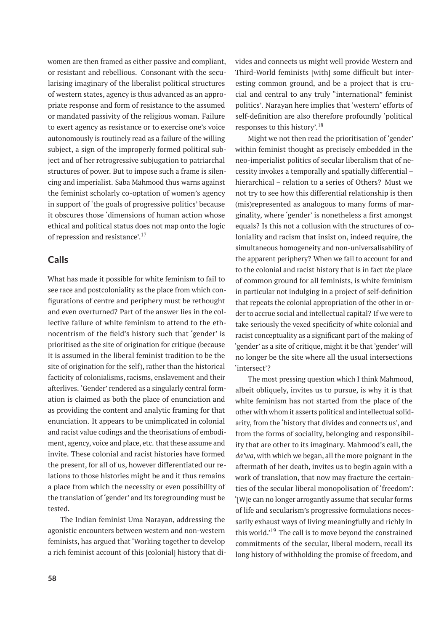women are then framed as either passive and compliant, or resistant and rebellious. Consonant with the secularising imaginary of the liberalist political structures of western states, agency is thus advanced as an appropriate response and form of resistance to the assumed or mandated passivity of the religious woman. Failure to exert agency as resistance or to exercise one's voice autonomously is routinely read as a failure of the willing subject, a sign of the improperly formed political subject and of her retrogressive subjugation to patriarchal structures of power. But to impose such a frame is silencing and imperialist. Saba Mahmood thus warns against the feminist scholarly co-optation of women's agency in support of 'the goals of progressive politics' because it obscures those 'dimensions of human action whose ethical and political status does not map onto the logic of repression and resistance'.<sup>17</sup>

## **Calls**

What has made it possible for white feminism to fail to see race and postcoloniality as the place from which configurations of centre and periphery must be rethought and even overturned? Part of the answer lies in the collective failure of white feminism to attend to the ethnocentrism of the field's history such that 'gender' is prioritised as the site of origination for critique (because it is assumed in the liberal feminist tradition to be the site of origination for the self), rather than the historical facticity of colonialisms, racisms, enslavement and their afterlives. 'Gender' rendered as a singularly central formation is claimed as both the place of enunciation and as providing the content and analytic framing for that enunciation. It appears to be unimplicated in colonial and racist value codings and the theorisations of embodiment, agency, voice and place, etc. that these assume and invite. These colonial and racist histories have formed the present, for all of us, however differentiated our relations to those histories might be and it thus remains a place from which the necessity or even possibility of the translation of 'gender' and its foregrounding must be tested.

The Indian feminist Uma Narayan, addressing the agonistic encounters between western and non-western feminists, has argued that 'Working together to develop a rich feminist account of this [colonial] history that di-

vides and connects us might well provide Western and Third-World feminists [with] some difficult but interesting common ground, and be a project that is crucial and central to any truly "international" feminist politics'. Narayan here implies that 'western' efforts of self-definition are also therefore profoundly 'political responses to this history'.<sup>18</sup>

Might we not then read the prioritisation of 'gender' within feminist thought as precisely embedded in the neo-imperialist politics of secular liberalism that of necessity invokes a temporally and spatially differential – hierarchical – relation to a series of Others? Must we not try to see how this differential relationship is then (mis)represented as analogous to many forms of marginality, where 'gender' is nonetheless a first amongst equals? Is this not a collusion with the structures of coloniality and racism that insist on, indeed require, the simultaneous homogeneity and non-universalisability of the apparent periphery? When we fail to account for and to the colonial and racist history that is in fact *the* place of common ground for all feminists, is white feminism in particular not indulging in a project of self-definition that repeats the colonial appropriation of the other in order to accrue social and intellectual capital? If we were to take seriously the vexed specificity of white colonial and racist conceptuality as a significant part of the making of 'gender' as a site of critique, might it be that 'gender' will no longer be the site where all the usual intersections 'intersect'?

The most pressing question which I think Mahmood, albeit obliquely, invites us to pursue, is why it is that white feminism has not started from the place of the other with whom it asserts political and intellectual solidarity, from the 'history that divides and connects us', and from the forms of sociality, belonging and responsibility that are other to its imaginary. Mahmood's call, the *da'wa*, with which we began, all the more poignant in the aftermath of her death, invites us to begin again with a work of translation, that now may fracture the certainties of the secular liberal monopolisation of 'freedom': '[W]e can no longer arrogantly assume that secular forms of life and secularism's progressive formulations necessarily exhaust ways of living meaningfully and richly in this world.<sup>19</sup> The call is to move beyond the constrained commitments of the secular, liberal modern, recall its long history of withholding the promise of freedom, and